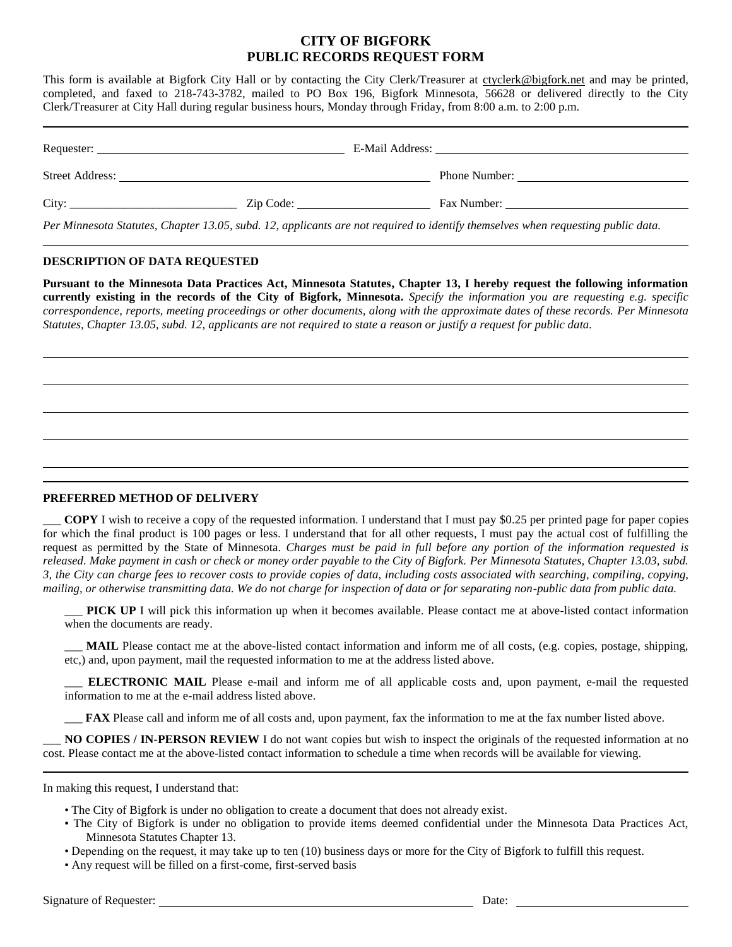## **CITY OF BIGFORK PUBLIC RECORDS REQUEST FORM**

This form is available at Bigfork City Hall or by contacting the City Clerk/Treasurer at ctyclerk@bigfork.net and may be printed, completed, and faxed to 218-743-3782, mailed to PO Box 196, Bigfork Minnesota, 56628 or delivered directly to the City Clerk/Treasurer at City Hall during regular business hours, Monday through Friday, from 8:00 a.m. to 2:00 p.m.

| Street Address: |           | Phone Number:                                                                                                                    |  |
|-----------------|-----------|----------------------------------------------------------------------------------------------------------------------------------|--|
| City:           | Zip Code: | Fax Number:                                                                                                                      |  |
|                 |           | Per Minnesota Statutes, Chapter 13.05, subd. 12, applicants are not required to identify themselves when requesting public data. |  |

## **DESCRIPTION OF DATA REQUESTED**

**Pursuant to the Minnesota Data Practices Act, Minnesota Statutes, Chapter 13, I hereby request the following information currently existing in the records of the City of Bigfork, Minnesota.** *Specify the information you are requesting e.g. specific correspondence, reports, meeting proceedings or other documents, along with the approximate dates of these records. Per Minnesota Statutes, Chapter 13.05, subd. 12, applicants are not required to state a reason or justify a request for public data.*

## **PREFERRED METHOD OF DELIVERY**

\_\_\_ **COPY** I wish to receive a copy of the requested information. I understand that I must pay \$0.25 per printed page for paper copies for which the final product is 100 pages or less. I understand that for all other requests, I must pay the actual cost of fulfilling the request as permitted by the State of Minnesota. *Charges must be paid in full before any portion of the information requested is released. Make payment in cash or check or money order payable to the City of Bigfork. Per Minnesota Statutes, Chapter 13.03, subd. 3, the City can charge fees to recover costs to provide copies of data, including costs associated with searching, compiling, copying, mailing, or otherwise transmitting data. We do not charge for inspection of data or for separating non-public data from public data.*

PICK UP I will pick this information up when it becomes available. Please contact me at above-listed contact information when the documents are ready.

\_\_\_ **MAIL** Please contact me at the above-listed contact information and inform me of all costs, (e.g. copies, postage, shipping, etc,) and, upon payment, mail the requested information to me at the address listed above.

\_\_\_ **ELECTRONIC MAIL** Please e-mail and inform me of all applicable costs and, upon payment, e-mail the requested information to me at the e-mail address listed above.

\_\_\_ **FAX** Please call and inform me of all costs and, upon payment, fax the information to me at the fax number listed above.

\_\_\_ **NO COPIES / IN-PERSON REVIEW** I do not want copies but wish to inspect the originals of the requested information at no cost. Please contact me at the above-listed contact information to schedule a time when records will be available for viewing.

In making this request, I understand that:

- The City of Bigfork is under no obligation to create a document that does not already exist.
- The City of Bigfork is under no obligation to provide items deemed confidential under the Minnesota Data Practices Act, Minnesota Statutes Chapter 13.
- Depending on the request, it may take up to ten (10) business days or more for the City of Bigfork to fulfill this request.
- Any request will be filled on a first-come, first-served basis